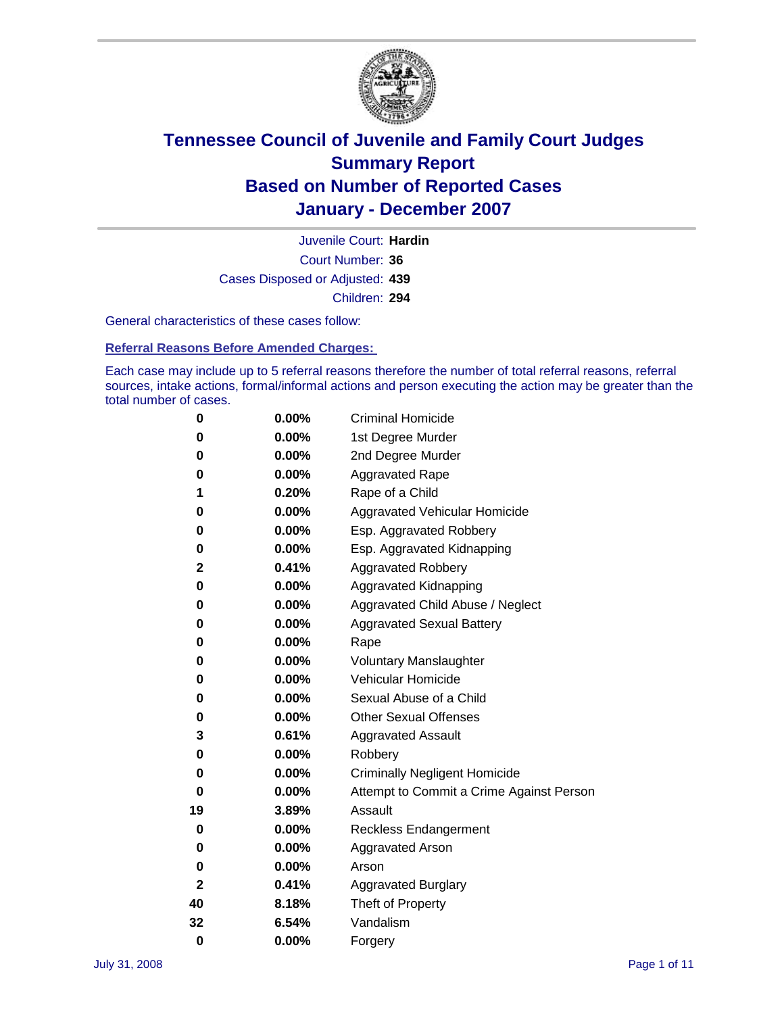

Court Number: **36** Juvenile Court: **Hardin** Cases Disposed or Adjusted: **439** Children: **294**

General characteristics of these cases follow:

**Referral Reasons Before Amended Charges:** 

Each case may include up to 5 referral reasons therefore the number of total referral reasons, referral sources, intake actions, formal/informal actions and person executing the action may be greater than the total number of cases.

| 0            | $0.00\%$ | <b>Criminal Homicide</b>                 |
|--------------|----------|------------------------------------------|
| 0            | 0.00%    | 1st Degree Murder                        |
| 0            | $0.00\%$ | 2nd Degree Murder                        |
| 0            | 0.00%    | <b>Aggravated Rape</b>                   |
| 1            | 0.20%    | Rape of a Child                          |
| 0            | $0.00\%$ | Aggravated Vehicular Homicide            |
| 0            | 0.00%    | Esp. Aggravated Robbery                  |
| 0            | $0.00\%$ | Esp. Aggravated Kidnapping               |
| 2            | 0.41%    | <b>Aggravated Robbery</b>                |
| 0            | 0.00%    | Aggravated Kidnapping                    |
| 0            | $0.00\%$ | Aggravated Child Abuse / Neglect         |
| 0            | 0.00%    | <b>Aggravated Sexual Battery</b>         |
| 0            | 0.00%    | Rape                                     |
| 0            | 0.00%    | <b>Voluntary Manslaughter</b>            |
| 0            | 0.00%    | Vehicular Homicide                       |
| 0            | $0.00\%$ | Sexual Abuse of a Child                  |
| 0            | 0.00%    | <b>Other Sexual Offenses</b>             |
| 3            | 0.61%    | <b>Aggravated Assault</b>                |
| 0            | 0.00%    | Robbery                                  |
| 0            | 0.00%    | <b>Criminally Negligent Homicide</b>     |
| 0            | 0.00%    | Attempt to Commit a Crime Against Person |
| 19           | 3.89%    | Assault                                  |
| 0            | 0.00%    | <b>Reckless Endangerment</b>             |
| 0            | 0.00%    | <b>Aggravated Arson</b>                  |
| 0            | 0.00%    | Arson                                    |
| $\mathbf{2}$ | 0.41%    | <b>Aggravated Burglary</b>               |
| 40           | 8.18%    | Theft of Property                        |
| 32           | 6.54%    | Vandalism                                |
| $\bf{0}$     | 0.00%    | Forgery                                  |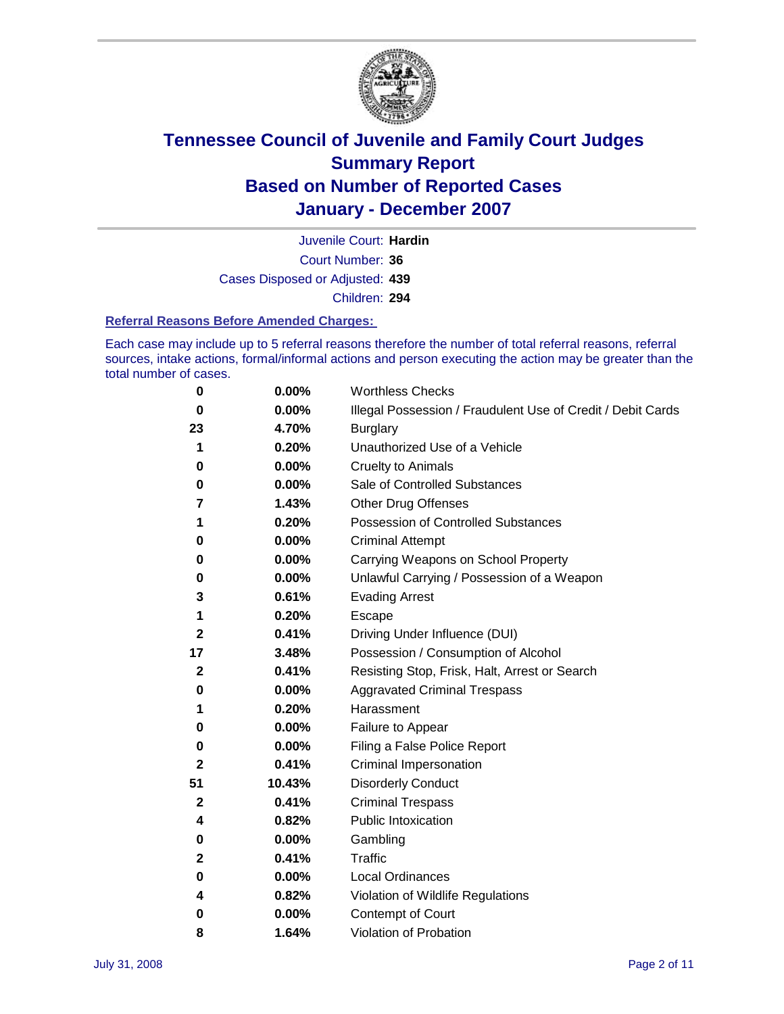

Court Number: **36** Juvenile Court: **Hardin** Cases Disposed or Adjusted: **439** Children: **294**

#### **Referral Reasons Before Amended Charges:**

Each case may include up to 5 referral reasons therefore the number of total referral reasons, referral sources, intake actions, formal/informal actions and person executing the action may be greater than the total number of cases.

| 0            | 0.00%  | <b>Worthless Checks</b>                                     |
|--------------|--------|-------------------------------------------------------------|
| 0            | 0.00%  | Illegal Possession / Fraudulent Use of Credit / Debit Cards |
| 23           | 4.70%  | <b>Burglary</b>                                             |
| 1            | 0.20%  | Unauthorized Use of a Vehicle                               |
| 0            | 0.00%  | <b>Cruelty to Animals</b>                                   |
| 0            | 0.00%  | Sale of Controlled Substances                               |
| 7            | 1.43%  | <b>Other Drug Offenses</b>                                  |
| 1            | 0.20%  | Possession of Controlled Substances                         |
| 0            | 0.00%  | <b>Criminal Attempt</b>                                     |
| 0            | 0.00%  | Carrying Weapons on School Property                         |
| 0            | 0.00%  | Unlawful Carrying / Possession of a Weapon                  |
| 3            | 0.61%  | <b>Evading Arrest</b>                                       |
| 1            | 0.20%  | Escape                                                      |
| $\mathbf{2}$ | 0.41%  | Driving Under Influence (DUI)                               |
| 17           | 3.48%  | Possession / Consumption of Alcohol                         |
| $\mathbf{2}$ | 0.41%  | Resisting Stop, Frisk, Halt, Arrest or Search               |
| 0            | 0.00%  | <b>Aggravated Criminal Trespass</b>                         |
| 1            | 0.20%  | Harassment                                                  |
| 0            | 0.00%  | Failure to Appear                                           |
| 0            | 0.00%  | Filing a False Police Report                                |
| 2            | 0.41%  | Criminal Impersonation                                      |
| 51           | 10.43% | <b>Disorderly Conduct</b>                                   |
| $\mathbf 2$  | 0.41%  | <b>Criminal Trespass</b>                                    |
| 4            | 0.82%  | <b>Public Intoxication</b>                                  |
| 0            | 0.00%  | Gambling                                                    |
| 2            | 0.41%  | Traffic                                                     |
| 0            | 0.00%  | Local Ordinances                                            |
| 4            | 0.82%  | Violation of Wildlife Regulations                           |
| 0            | 0.00%  | <b>Contempt of Court</b>                                    |
| 8            | 1.64%  | Violation of Probation                                      |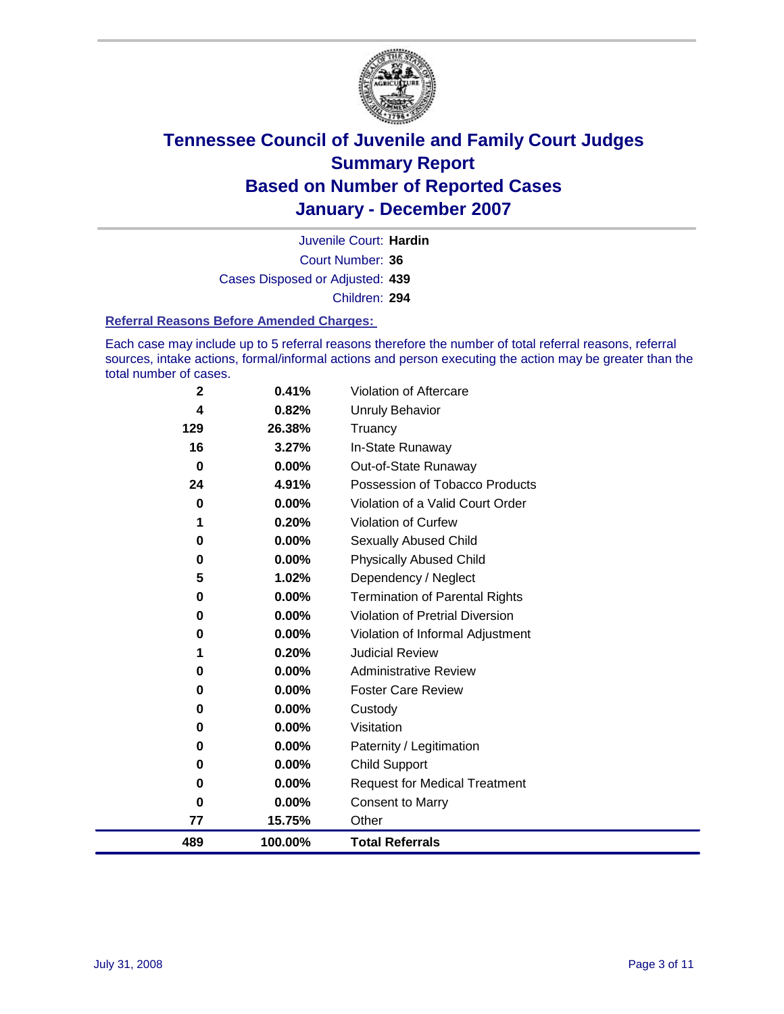

Court Number: **36** Juvenile Court: **Hardin** Cases Disposed or Adjusted: **439** Children: **294**

#### **Referral Reasons Before Amended Charges:**

Each case may include up to 5 referral reasons therefore the number of total referral reasons, referral sources, intake actions, formal/informal actions and person executing the action may be greater than the total number of cases.

| $\mathbf 2$ | 0.41%    | Violation of Aftercare                 |
|-------------|----------|----------------------------------------|
| 4           | 0.82%    | <b>Unruly Behavior</b>                 |
| 129         | 26.38%   | Truancy                                |
| 16          | 3.27%    | In-State Runaway                       |
| $\bf{0}$    | $0.00\%$ | Out-of-State Runaway                   |
| 24          | 4.91%    | Possession of Tobacco Products         |
| 0           | $0.00\%$ | Violation of a Valid Court Order       |
|             | 0.20%    | Violation of Curfew                    |
| 0           | $0.00\%$ | Sexually Abused Child                  |
| 0           | $0.00\%$ | <b>Physically Abused Child</b>         |
| 5           | 1.02%    | Dependency / Neglect                   |
| 0           | $0.00\%$ | <b>Termination of Parental Rights</b>  |
| 0           | $0.00\%$ | <b>Violation of Pretrial Diversion</b> |
| 0           | $0.00\%$ | Violation of Informal Adjustment       |
| 1           | 0.20%    | <b>Judicial Review</b>                 |
| 0           | $0.00\%$ | <b>Administrative Review</b>           |
| 0           | $0.00\%$ | <b>Foster Care Review</b>              |
| 0           | 0.00%    | Custody                                |
| 0           | 0.00%    | Visitation                             |
| 0           | 0.00%    | Paternity / Legitimation               |
| 0           | 0.00%    | <b>Child Support</b>                   |
| 0           | 0.00%    | <b>Request for Medical Treatment</b>   |
| 0           | 0.00%    | <b>Consent to Marry</b>                |
| 77          | 15.75%   | Other                                  |
| 489         | 100.00%  | <b>Total Referrals</b>                 |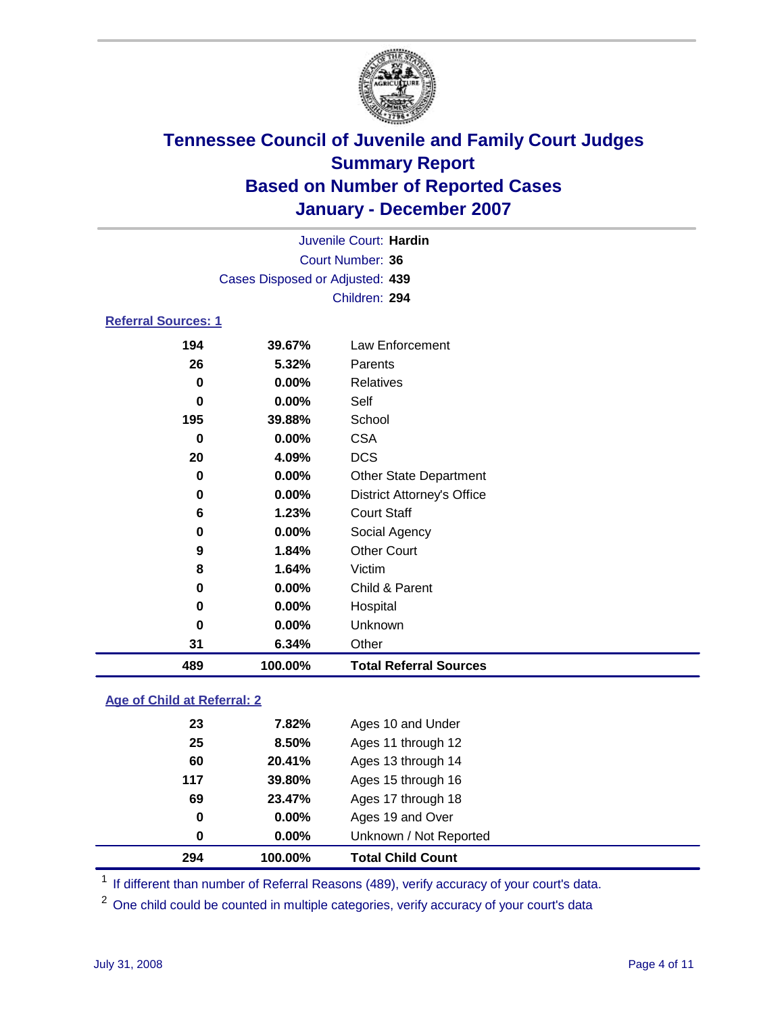

|                            |                                 | Juvenile Court: Hardin            |  |
|----------------------------|---------------------------------|-----------------------------------|--|
|                            |                                 | Court Number: 36                  |  |
|                            | Cases Disposed or Adjusted: 439 |                                   |  |
|                            |                                 | Children: 294                     |  |
| <b>Referral Sources: 1</b> |                                 |                                   |  |
| 194                        | 39.67%                          | Law Enforcement                   |  |
| 26                         | 5.32%                           | Parents                           |  |
| 0                          | $0.00\%$                        | Relatives                         |  |
| 0                          | $0.00\%$                        | Self                              |  |
| 195                        | 39.88%                          | School                            |  |
| 0                          | $0.00\%$                        | <b>CSA</b>                        |  |
| 20                         | 4.09%                           | <b>DCS</b>                        |  |
| 0                          | $0.00\%$                        | <b>Other State Department</b>     |  |
| 0                          | $0.00\%$                        | <b>District Attorney's Office</b> |  |
| 6                          | 1.23%                           | <b>Court Staff</b>                |  |
| 0                          | $0.00\%$                        | Social Agency                     |  |
| 9                          | 1.84%                           | <b>Other Court</b>                |  |
| 8                          | 1.64%                           | Victim                            |  |
| 0                          | $0.00\%$                        | Child & Parent                    |  |

 **0.00%** Hospital **0.00%** Unknown **6.34%** Other **100.00% Total Referral Sources**

### **Age of Child at Referral: 2**

|     | 100.00%  | <b>Total Child Count</b> |  |
|-----|----------|--------------------------|--|
| 0   | $0.00\%$ | Unknown / Not Reported   |  |
| 0   | $0.00\%$ | Ages 19 and Over         |  |
| 69  | 23.47%   | Ages 17 through 18       |  |
| 117 | 39.80%   | Ages 15 through 16       |  |
| 60  | 20.41%   | Ages 13 through 14       |  |
| 25  | 8.50%    | Ages 11 through 12       |  |
| 23  | 7.82%    | Ages 10 and Under        |  |
|     | 294      |                          |  |

<sup>1</sup> If different than number of Referral Reasons (489), verify accuracy of your court's data.

<sup>2</sup> One child could be counted in multiple categories, verify accuracy of your court's data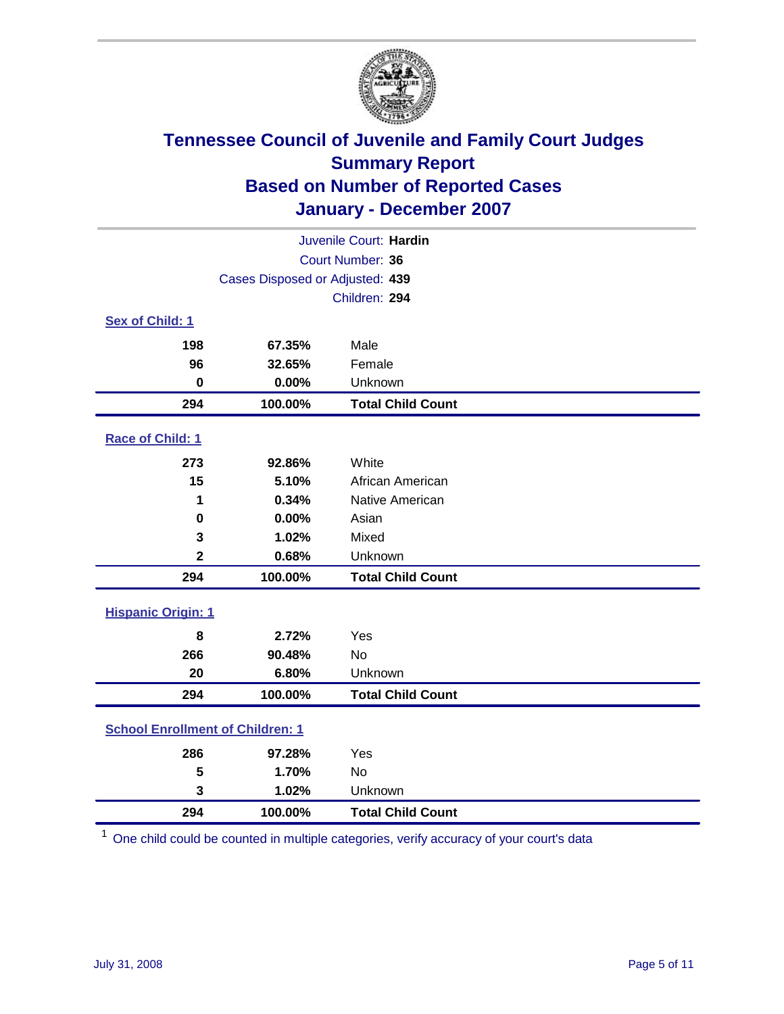

| Juvenile Court: Hardin                  |                                 |                          |  |  |  |
|-----------------------------------------|---------------------------------|--------------------------|--|--|--|
|                                         | Court Number: 36                |                          |  |  |  |
|                                         | Cases Disposed or Adjusted: 439 |                          |  |  |  |
|                                         | Children: 294                   |                          |  |  |  |
| Sex of Child: 1                         |                                 |                          |  |  |  |
| 198                                     | 67.35%                          | Male                     |  |  |  |
| 96                                      | 32.65%                          | Female                   |  |  |  |
| $\bf{0}$                                | 0.00%                           | Unknown                  |  |  |  |
| 294                                     | 100.00%                         | <b>Total Child Count</b> |  |  |  |
| Race of Child: 1                        |                                 |                          |  |  |  |
| 273                                     | 92.86%                          | White                    |  |  |  |
| 15                                      | 5.10%                           | African American         |  |  |  |
| 1                                       | 0.34%                           | Native American          |  |  |  |
| 0                                       | 0.00%                           | Asian                    |  |  |  |
| 3                                       | 1.02%                           | Mixed                    |  |  |  |
| $\mathbf 2$                             | 0.68%                           | Unknown                  |  |  |  |
| 294                                     | 100.00%                         | <b>Total Child Count</b> |  |  |  |
| <b>Hispanic Origin: 1</b>               |                                 |                          |  |  |  |
| 8                                       | 2.72%                           | Yes                      |  |  |  |
| 266                                     | 90.48%                          | <b>No</b>                |  |  |  |
| 20                                      | 6.80%                           | Unknown                  |  |  |  |
| 294                                     | 100.00%                         | <b>Total Child Count</b> |  |  |  |
| <b>School Enrollment of Children: 1</b> |                                 |                          |  |  |  |
| 286                                     | 97.28%                          | Yes                      |  |  |  |
| 5                                       | 1.70%                           | <b>No</b>                |  |  |  |
| 3                                       | 1.02%                           | Unknown                  |  |  |  |
| 294                                     | 100.00%                         | <b>Total Child Count</b> |  |  |  |

One child could be counted in multiple categories, verify accuracy of your court's data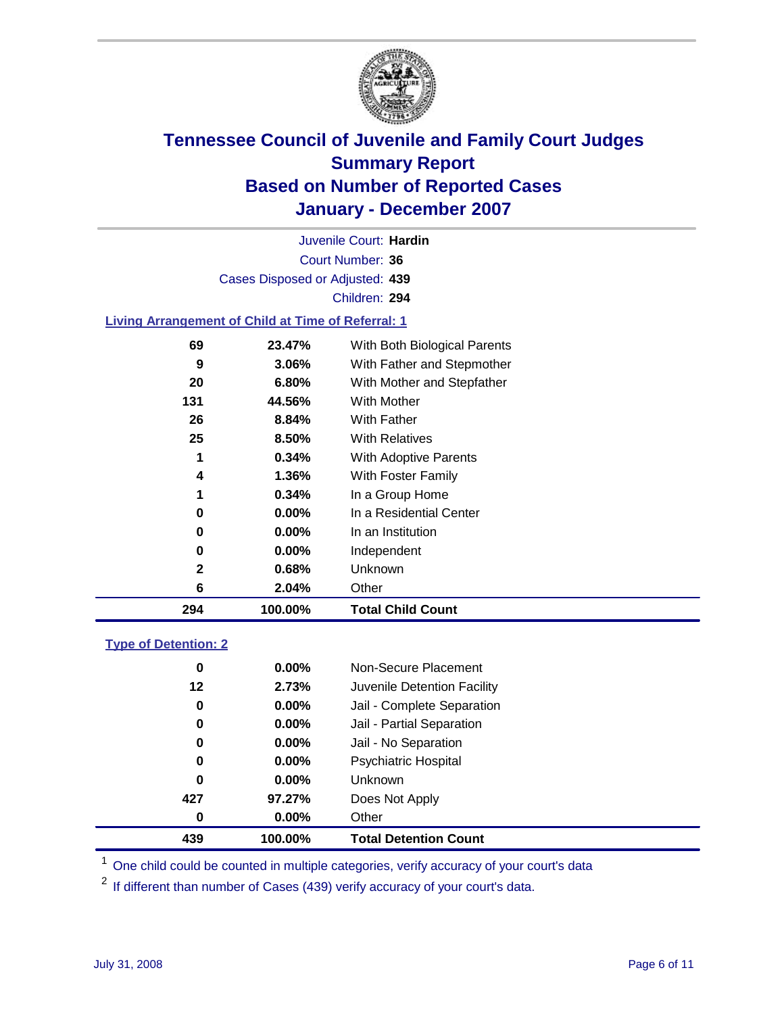

Court Number: **36** Juvenile Court: **Hardin** Cases Disposed or Adjusted: **439** Children: **294**

#### **Living Arrangement of Child at Time of Referral: 1**

| 294 | 100.00%  | <b>Total Child Count</b>     |
|-----|----------|------------------------------|
| 6   | 2.04%    | Other                        |
| 2   | 0.68%    | Unknown                      |
| 0   | $0.00\%$ | Independent                  |
| 0   | $0.00\%$ | In an Institution            |
| 0   | $0.00\%$ | In a Residential Center      |
| 1   | 0.34%    | In a Group Home              |
| 4   | 1.36%    | With Foster Family           |
| 1   | 0.34%    | With Adoptive Parents        |
| 25  | 8.50%    | <b>With Relatives</b>        |
| 26  | 8.84%    | With Father                  |
| 131 | 44.56%   | With Mother                  |
| 20  | 6.80%    | With Mother and Stepfather   |
| 9   | 3.06%    | With Father and Stepmother   |
| 69  | 23.47%   | With Both Biological Parents |
|     |          |                              |

#### **Type of Detention: 2**

| 439 | 100.00%  | <b>Total Detention Count</b> |
|-----|----------|------------------------------|
| 0   | $0.00\%$ | Other                        |
| 427 | 97.27%   | Does Not Apply               |
| 0   | $0.00\%$ | <b>Unknown</b>               |
| 0   | $0.00\%$ | <b>Psychiatric Hospital</b>  |
| 0   | $0.00\%$ | Jail - No Separation         |
| 0   | $0.00\%$ | Jail - Partial Separation    |
| 0   | $0.00\%$ | Jail - Complete Separation   |
| 12  | 2.73%    | Juvenile Detention Facility  |
| 0   | $0.00\%$ | Non-Secure Placement         |
|     |          |                              |

<sup>1</sup> One child could be counted in multiple categories, verify accuracy of your court's data

<sup>2</sup> If different than number of Cases (439) verify accuracy of your court's data.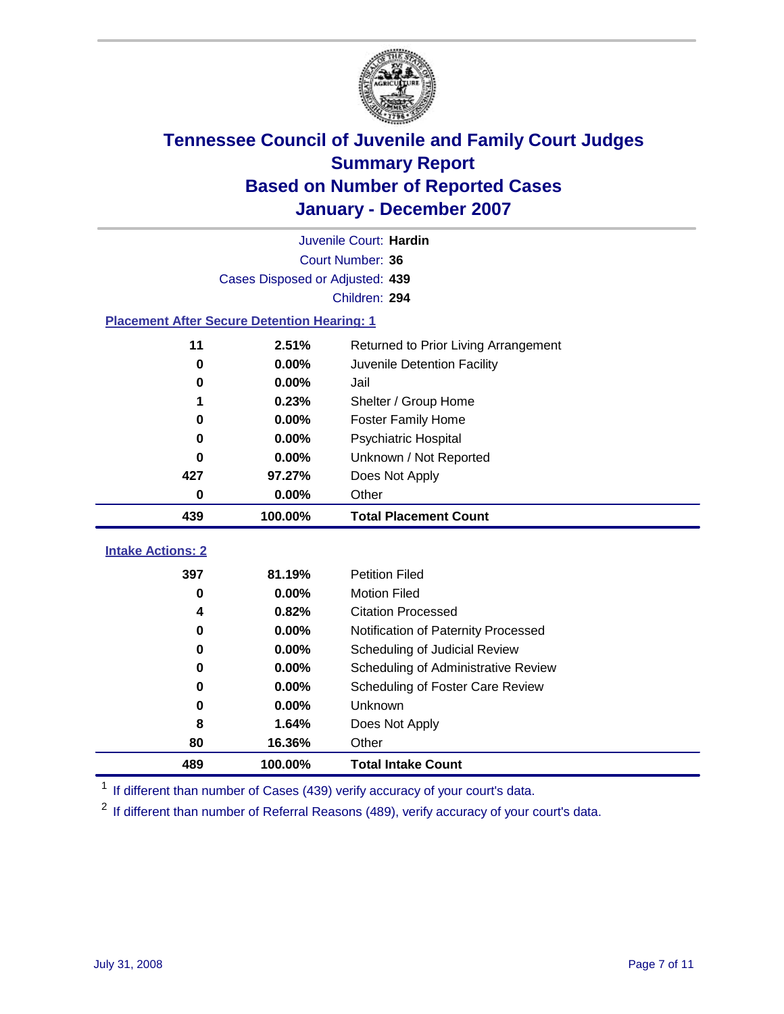

|                                                    | Juvenile Court: Hardin          |                                      |  |  |  |
|----------------------------------------------------|---------------------------------|--------------------------------------|--|--|--|
|                                                    | Court Number: 36                |                                      |  |  |  |
|                                                    | Cases Disposed or Adjusted: 439 |                                      |  |  |  |
|                                                    |                                 | Children: 294                        |  |  |  |
| <b>Placement After Secure Detention Hearing: 1</b> |                                 |                                      |  |  |  |
| 11                                                 | 2.51%                           | Returned to Prior Living Arrangement |  |  |  |
| $\bf{0}$                                           | 0.00%                           | Juvenile Detention Facility          |  |  |  |
| 0                                                  | 0.00%                           | Jail                                 |  |  |  |
| 1                                                  | 0.23%                           | Shelter / Group Home                 |  |  |  |
| $\bf{0}$                                           | 0.00%                           | <b>Foster Family Home</b>            |  |  |  |
| $\bf{0}$                                           | 0.00%                           | Psychiatric Hospital                 |  |  |  |
| 0                                                  | 0.00%                           | Unknown / Not Reported               |  |  |  |
| 427                                                | 97.27%                          | Does Not Apply                       |  |  |  |
| $\bf{0}$                                           | 0.00%                           | Other                                |  |  |  |
|                                                    |                                 |                                      |  |  |  |
| 439                                                | 100.00%                         | <b>Total Placement Count</b>         |  |  |  |
| <b>Intake Actions: 2</b>                           |                                 |                                      |  |  |  |
| 397                                                | 81.19%                          | <b>Petition Filed</b>                |  |  |  |
| $\bf{0}$                                           | 0.00%                           | <b>Motion Filed</b>                  |  |  |  |
| 4                                                  | 0.82%                           | <b>Citation Processed</b>            |  |  |  |
| 0                                                  | 0.00%                           | Notification of Paternity Processed  |  |  |  |
| 0                                                  | 0.00%                           | Scheduling of Judicial Review        |  |  |  |
| 0                                                  | 0.00%                           | Scheduling of Administrative Review  |  |  |  |
| 0                                                  | 0.00%                           | Scheduling of Foster Care Review     |  |  |  |
| 0                                                  | 0.00%                           | Unknown                              |  |  |  |
| 8                                                  | 1.64%                           | Does Not Apply                       |  |  |  |
| 80                                                 | 16.36%                          | Other                                |  |  |  |

<sup>1</sup> If different than number of Cases (439) verify accuracy of your court's data.

<sup>2</sup> If different than number of Referral Reasons (489), verify accuracy of your court's data.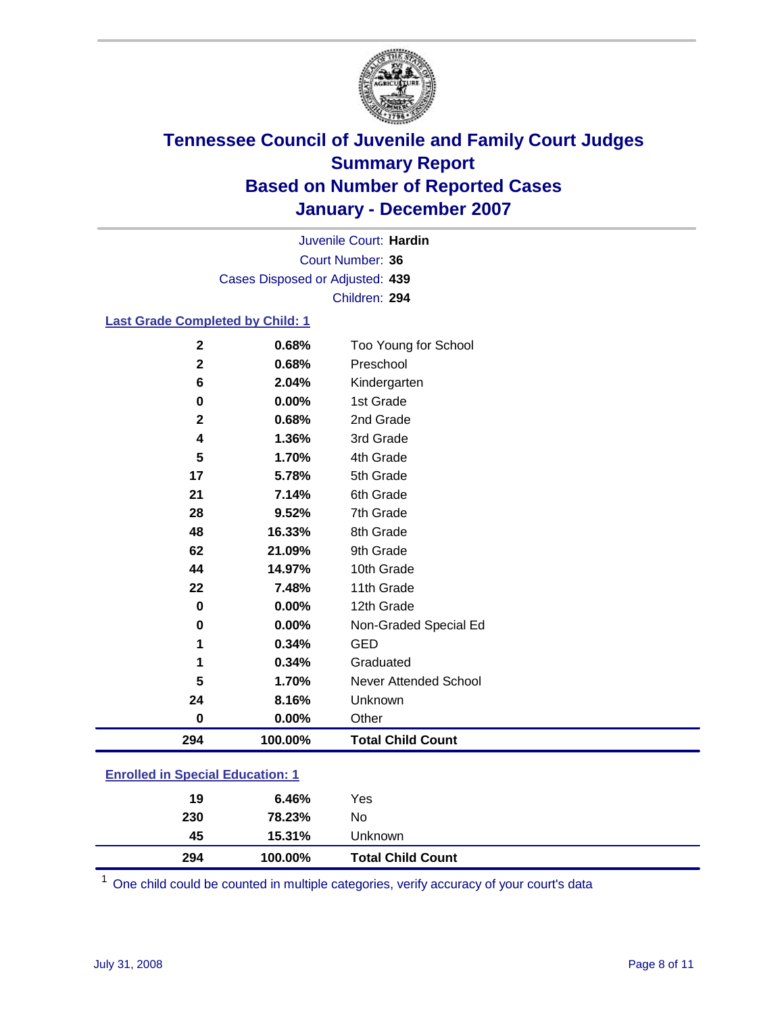

Court Number: **36** Juvenile Court: **Hardin** Cases Disposed or Adjusted: **439** Children: **294**

#### **Last Grade Completed by Child: 1**

| 294         | 100.00% | <b>Total Child Count</b> |
|-------------|---------|--------------------------|
| $\bf{0}$    | 0.00%   | Other                    |
| 24          | 8.16%   | Unknown                  |
| 5           | 1.70%   | Never Attended School    |
| 1           | 0.34%   | Graduated                |
| 1           | 0.34%   | <b>GED</b>               |
| $\bf{0}$    | 0.00%   | Non-Graded Special Ed    |
| $\bf{0}$    | 0.00%   | 12th Grade               |
| 22          | 7.48%   | 11th Grade               |
| 44          | 14.97%  | 10th Grade               |
| 62          | 21.09%  | 9th Grade                |
| 48          | 16.33%  | 8th Grade                |
| 28          | 9.52%   | 7th Grade                |
| 21          | 7.14%   | 6th Grade                |
| 17          | 5.78%   | 5th Grade                |
| 5           | 1.70%   | 4th Grade                |
| 4           | 1.36%   | 3rd Grade                |
| $\mathbf 2$ | 0.68%   | 2nd Grade                |
| 0           | 0.00%   | 1st Grade                |
| 6           | 2.04%   | Kindergarten             |
| $\mathbf 2$ | 0.68%   | Preschool                |
| $\mathbf 2$ | 0.68%   | Too Young for School     |

### **Enrolled in Special Education: 1**

| 294 | 100.00% | <b>Total Child Count</b> |  |
|-----|---------|--------------------------|--|
| 45  | 15.31%  | Unknown                  |  |
| 230 | 78.23%  | No                       |  |
| 19  | 6.46%   | Yes                      |  |
|     |         |                          |  |

<sup>1</sup> One child could be counted in multiple categories, verify accuracy of your court's data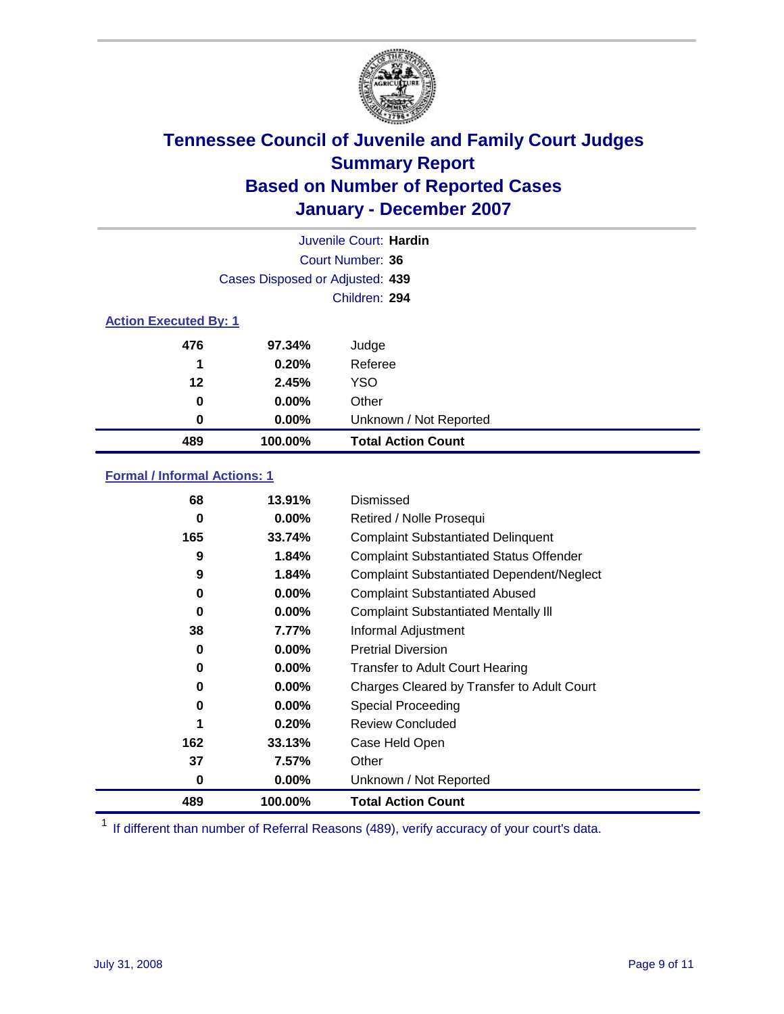

| Juvenile Court: Hardin       |                                 |                           |  |  |  |
|------------------------------|---------------------------------|---------------------------|--|--|--|
|                              | Court Number: 36                |                           |  |  |  |
|                              | Cases Disposed or Adjusted: 439 |                           |  |  |  |
|                              | Children: 294                   |                           |  |  |  |
| <b>Action Executed By: 1</b> |                                 |                           |  |  |  |
| 476                          | 97.34%                          | Judge                     |  |  |  |
| 1                            | 0.20%                           | Referee                   |  |  |  |
| 12                           | 2.45%                           | <b>YSO</b>                |  |  |  |
| 0                            | $0.00\%$                        | Other                     |  |  |  |
| 0                            | $0.00\%$                        | Unknown / Not Reported    |  |  |  |
| 489                          | 100.00%                         | <b>Total Action Count</b> |  |  |  |

### **Formal / Informal Actions: 1**

| 68  | 13.91%   | Dismissed                                        |
|-----|----------|--------------------------------------------------|
| 0   | $0.00\%$ | Retired / Nolle Prosequi                         |
| 165 | 33.74%   | <b>Complaint Substantiated Delinquent</b>        |
| 9   | 1.84%    | <b>Complaint Substantiated Status Offender</b>   |
| 9   | 1.84%    | <b>Complaint Substantiated Dependent/Neglect</b> |
| 0   | $0.00\%$ | <b>Complaint Substantiated Abused</b>            |
| 0   | $0.00\%$ | <b>Complaint Substantiated Mentally III</b>      |
| 38  | 7.77%    | Informal Adjustment                              |
| 0   | $0.00\%$ | <b>Pretrial Diversion</b>                        |
| 0   | $0.00\%$ | <b>Transfer to Adult Court Hearing</b>           |
| 0   | $0.00\%$ | Charges Cleared by Transfer to Adult Court       |
| 0   | $0.00\%$ | Special Proceeding                               |
| 1   | 0.20%    | <b>Review Concluded</b>                          |
| 162 | 33.13%   | Case Held Open                                   |
| 37  | 7.57%    | Other                                            |
| 0   | $0.00\%$ | Unknown / Not Reported                           |
| 489 | 100.00%  | <b>Total Action Count</b>                        |

<sup>1</sup> If different than number of Referral Reasons (489), verify accuracy of your court's data.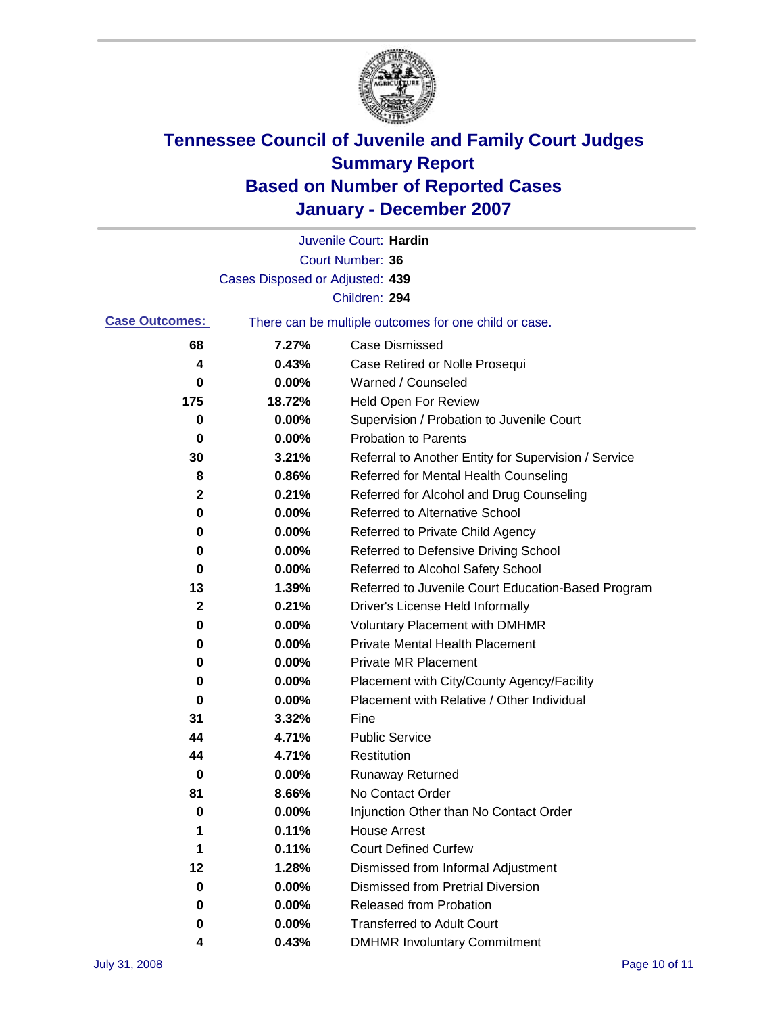

|                       |                                 | Juvenile Court: Hardin                                |
|-----------------------|---------------------------------|-------------------------------------------------------|
|                       |                                 | Court Number: 36                                      |
|                       | Cases Disposed or Adjusted: 439 |                                                       |
|                       |                                 | Children: 294                                         |
| <b>Case Outcomes:</b> |                                 | There can be multiple outcomes for one child or case. |
| 68                    | 7.27%                           | <b>Case Dismissed</b>                                 |
| 4                     | 0.43%                           | Case Retired or Nolle Prosequi                        |
| 0                     | 0.00%                           | Warned / Counseled                                    |
| 175                   | 18.72%                          | <b>Held Open For Review</b>                           |
| 0                     | 0.00%                           | Supervision / Probation to Juvenile Court             |
| 0                     | 0.00%                           | <b>Probation to Parents</b>                           |
| 30                    | 3.21%                           | Referral to Another Entity for Supervision / Service  |
| 8                     | 0.86%                           | Referred for Mental Health Counseling                 |
| 2                     | 0.21%                           | Referred for Alcohol and Drug Counseling              |
| 0                     | 0.00%                           | <b>Referred to Alternative School</b>                 |
| 0                     | 0.00%                           | Referred to Private Child Agency                      |
| 0                     | 0.00%                           | Referred to Defensive Driving School                  |
| 0                     | 0.00%                           | Referred to Alcohol Safety School                     |
| 13                    | 1.39%                           | Referred to Juvenile Court Education-Based Program    |
| 2                     | 0.21%                           | Driver's License Held Informally                      |
| 0                     | 0.00%                           | <b>Voluntary Placement with DMHMR</b>                 |
| 0                     | 0.00%                           | <b>Private Mental Health Placement</b>                |
| 0                     | 0.00%                           | <b>Private MR Placement</b>                           |
| 0                     | 0.00%                           | Placement with City/County Agency/Facility            |
| 0                     | 0.00%                           | Placement with Relative / Other Individual            |
| 31                    | 3.32%                           | Fine                                                  |
| 44                    | 4.71%                           | <b>Public Service</b>                                 |
| 44                    | 4.71%                           | Restitution                                           |
| 0                     | 0.00%                           | <b>Runaway Returned</b>                               |
| 81                    | 8.66%                           | No Contact Order                                      |
| 0                     | 0.00%                           | Injunction Other than No Contact Order                |
| 1                     | 0.11%                           | <b>House Arrest</b>                                   |
| 1                     | 0.11%                           | <b>Court Defined Curfew</b>                           |
| 12                    | 1.28%                           | Dismissed from Informal Adjustment                    |
| 0                     | 0.00%                           | <b>Dismissed from Pretrial Diversion</b>              |
| 0                     | 0.00%                           | <b>Released from Probation</b>                        |
| 0                     | 0.00%                           | <b>Transferred to Adult Court</b>                     |
| 4                     | 0.43%                           | <b>DMHMR Involuntary Commitment</b>                   |